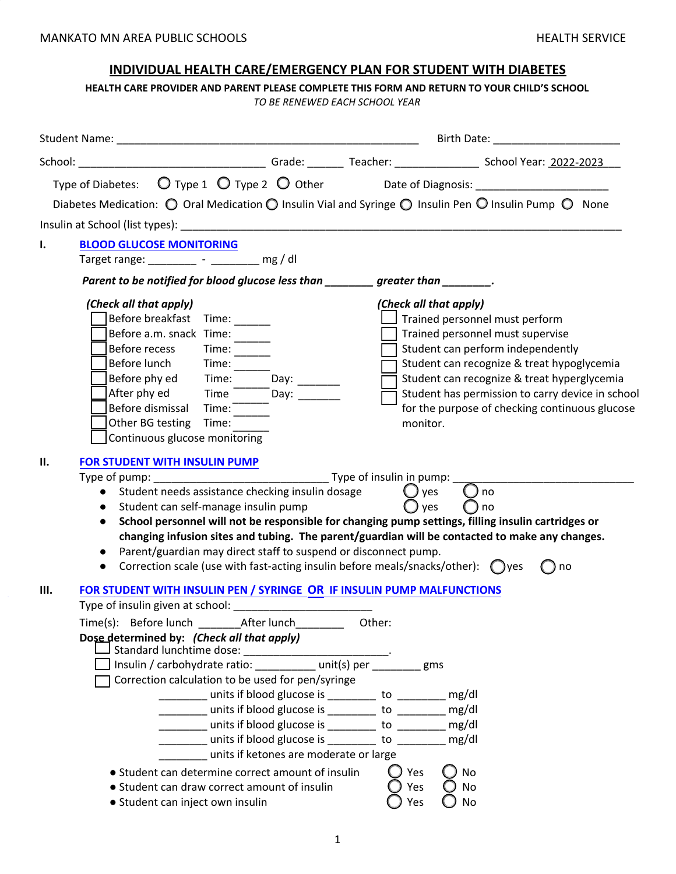# **INDIVIDUAL HEALTH CARE/EMERGENCY PLAN FOR STUDENT WITH DIABETES**

**HEALTH CARE PROVIDER AND PARENT PLEASE COMPLETE THIS FORM AND RETURN TO YOUR CHILD'S SCHOOL**

*TO BE RENEWED EACH SCHOOL YEAR*

| Diabetes Medication: $\bigcirc$ Oral Medication $\bigcirc$ Insulin Vial and Syringe $\bigcirc$ Insulin Pen $\bigcirc$ Insulin Pump $\bigcirc$ None                                                                                                                                                                                                                                                                                                                                                                                                                                                                                                                                                                                                                                                                                                     |                             |                                                                                                                                                                                                                                                                                                                                      |
|--------------------------------------------------------------------------------------------------------------------------------------------------------------------------------------------------------------------------------------------------------------------------------------------------------------------------------------------------------------------------------------------------------------------------------------------------------------------------------------------------------------------------------------------------------------------------------------------------------------------------------------------------------------------------------------------------------------------------------------------------------------------------------------------------------------------------------------------------------|-----------------------------|--------------------------------------------------------------------------------------------------------------------------------------------------------------------------------------------------------------------------------------------------------------------------------------------------------------------------------------|
|                                                                                                                                                                                                                                                                                                                                                                                                                                                                                                                                                                                                                                                                                                                                                                                                                                                        |                             |                                                                                                                                                                                                                                                                                                                                      |
| <b>BLOOD GLUCOSE MONITORING</b><br>Ι.<br>Target range: ________ - ________ mg / dl                                                                                                                                                                                                                                                                                                                                                                                                                                                                                                                                                                                                                                                                                                                                                                     |                             |                                                                                                                                                                                                                                                                                                                                      |
| Parent to be notified for blood glucose less than greater than                                                                                                                                                                                                                                                                                                                                                                                                                                                                                                                                                                                                                                                                                                                                                                                         |                             |                                                                                                                                                                                                                                                                                                                                      |
| (Check all that apply)<br>Before breakfast Time: ______<br>Before a.m. snack Time:<br>Time: $\frac{1}{\sqrt{1-\frac{1}{2}}}\frac{1}{\sqrt{1-\frac{1}{2}}}\frac{1}{\sqrt{1-\frac{1}{2}}}\frac{1}{\sqrt{1-\frac{1}{2}}}\frac{1}{\sqrt{1-\frac{1}{2}}}\frac{1}{\sqrt{1-\frac{1}{2}}}\frac{1}{\sqrt{1-\frac{1}{2}}}\frac{1}{\sqrt{1-\frac{1}{2}}}\frac{1}{\sqrt{1-\frac{1}{2}}}\frac{1}{\sqrt{1-\frac{1}{2}}}\frac{1}{\sqrt{1-\frac{1}{2}}}\frac{1}{\sqrt{1-\frac{1}{2}}}\frac{1}{\sqrt{1-\frac{1}{2}}}\frac{1}{\$<br>Before recess<br>Before lunch Time:<br>Before phy ed Time: $\overline{\phantom{0}}$ Day: _____<br>After phy ed Time The Day: ________<br>Before dismissal Time:<br>Other BG testing<br>Time:<br>Continuous glucose monitoring                                                                                                        | monitor.                    | (Check all that apply)<br>Trained personnel must perform<br>Trained personnel must supervise<br>Student can perform independently<br>Student can recognize & treat hypoglycemia<br>Student can recognize & treat hyperglycemia<br>Student has permission to carry device in school<br>for the purpose of checking continuous glucose |
| FOR STUDENT WITH INSULIN PUMP<br>Ш.<br>• Student needs assistance checking insulin dosage<br>• Student can self-manage insulin pump<br>$\bullet$<br>Parent/guardian may direct staff to suspend or disconnect pump.<br>• Correction scale (use with fast-acting insulin before meals/snacks/other): $\bigcirc$ yes                                                                                                                                                                                                                                                                                                                                                                                                                                                                                                                                     | $\bigcup$ yes<br>ves        | ( ) no<br>no<br>School personnel will not be responsible for changing pump settings, filling insulin cartridges or<br>changing infusion sites and tubing. The parent/guardian will be contacted to make any changes.<br>$\bigcap$ no                                                                                                 |
| Ш.<br>FOR STUDENT WITH INSULIN PEN / SYRINGE OR IF INSULIN PUMP MALFUNCTIONS<br>Type of insulin given at school: National Contract of the state of the state of the state of the state of the state of the state of the state of the state of the state of the state of the state of the state of the state of<br>Dose determined by: (Check all that apply)<br>Insulin / carbohydrate ratio: ____________ unit(s) per _________ gms<br>Correction calculation to be used for pen/syringe<br>units if blood glucose is ________ to ________ mg/dl<br>_______ units if blood glucose is ________ to ________ mg/dl<br>units if blood glucose is ________ to ________<br>units if ketones are moderate or large<br>• Student can determine correct amount of insulin<br>• Student can draw correct amount of insulin<br>• Student can inject own insulin | Other:<br>Yes<br>Yes<br>Yes | mg/dl<br>No<br>No<br>No                                                                                                                                                                                                                                                                                                              |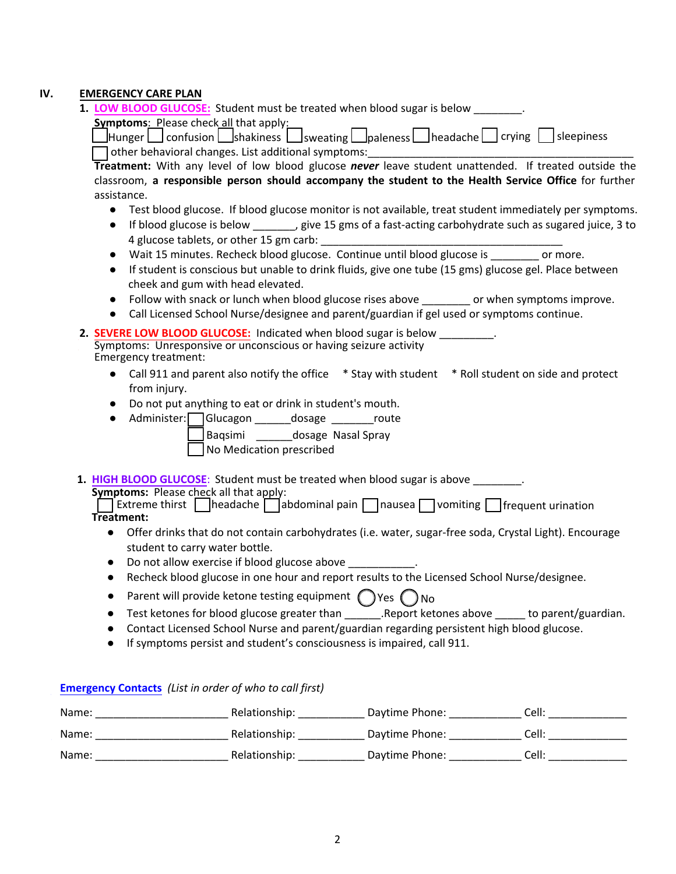# **IV. EMERGENCY CARE PLAN**

**1. LOW BLOOD GLUCOSE:** Student must be treated when blood sugar is below \_\_\_\_\_\_\_\_.

**Symptoms: Please check all that apply:** 

 $\Box$  Hunger  $\Box$  confusion  $\Box$  shakiness  $\Box$  sweating  $\Box$  paleness  $\Box$  headache  $\Box$  crying  $\Box$  sleepiness

 $\Box$  other behavioral changes. List additional symptoms:

**Treatment:** With any level of low blood glucose *never* leave student unattended. If treated outside the classroom, **a responsible person should accompany the student to the Health Service Office** for further assistance.

- Test blood glucose. If blood glucose monitor is not available, treat student immediately per symptoms.
- If blood glucose is below , give 15 gms of a fast-acting carbohydrate such as sugared juice, 3 to 4 glucose tablets, or other 15 gm carb:
- Wait 15 minutes. Recheck blood glucose. Continue until blood glucose is \_\_\_\_\_\_\_\_ or more.
- If student is conscious but unable to drink fluids, give one tube (15 gms) glucose gel. Place between cheek and gum with head elevated.
- Follow with snack or lunch when blood glucose rises above or when symptoms improve.
- Call Licensed School Nurse/designee and parent/guardian if gel used or symptoms continue.
- **2. SEVERE LOW BLOOD GLUCOSE:** Indicated when blood sugar is below \_\_\_\_\_\_\_\_\_. Symptoms: Unresponsive or unconscious or having seizure activity Emergency treatment:
	- Call 911 and parent also notify the office \* Stay with student \* Roll student on side and protect from injury.
	- Do not put anything to eat or drink in student's mouth.
	- Administer: Glucagon \_\_\_\_\_\_dosage \_\_\_\_\_\_\_route Baqsimi \_\_\_\_\_\_dosage Nasal Spray

No Medication prescribed

**1. HIGH BLOOD GLUCOSE**: Student must be treated when blood sugar is above \_\_\_\_\_\_\_\_.

**Symptoms:** Please check all that apply:

Extreme thirst | headache | abdominal pain | nausea | vomiting | frequent urination **Treatment:**

- Offer drinks that do not contain carbohydrates (i.e. water, sugar-free soda, Crystal Light). Encourage student to carry water bottle.
- Do not allow exercise if blood glucose above
- Recheck blood glucose in one hour and report results to the Licensed School Nurse/designee.
- Parent will provide ketone testing equipment  $\bigcap$  Yes  $\bigcap$  No
- Test ketones for blood glucose greater than \_\_\_\_\_\_\_.Report ketones above \_\_\_\_\_ to parent/guardian.
- Contact Licensed School Nurse and parent/guardian regarding persistent high blood glucose.
- If symptoms persist and student's consciousness is impaired, call 911.

# **Emergency Contacts** *(List in order of who to call first)*

| Name: | Relationship: | Daytime Phone: | Cell: |
|-------|---------------|----------------|-------|
| Name: | Relationship: | Daytime Phone: | Cell: |
| Name: | Relationship: | Daytime Phone: | Cell: |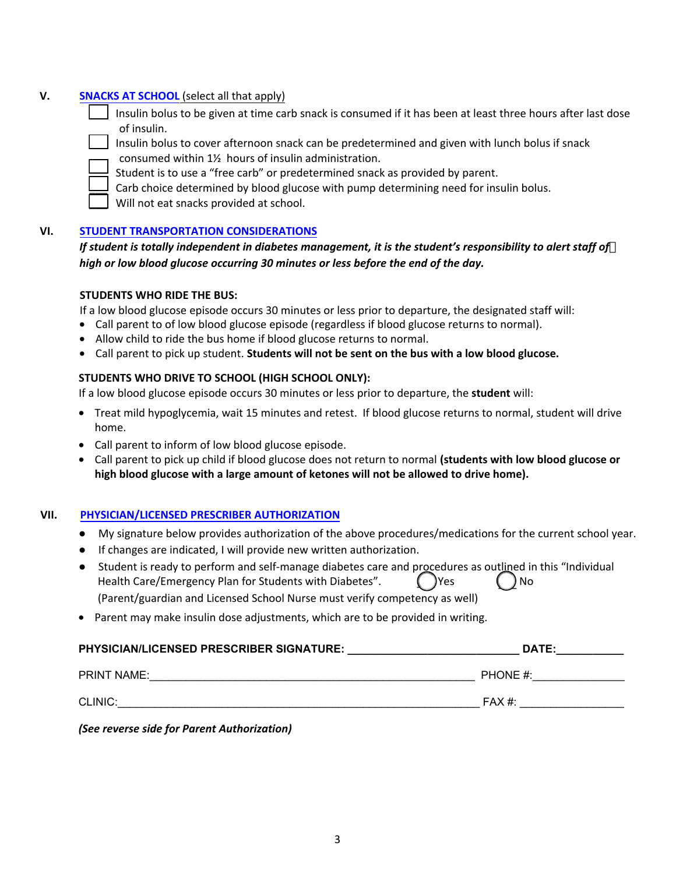# **V. SNACKS AT SCHOOL** (select all that apply)

| Insulin bolus to be given at time carb snack is consumed if it has been at least three hours after last dose |
|--------------------------------------------------------------------------------------------------------------|
| of insulin.                                                                                                  |

- \_\_\_ Insulin bolus to cover afternoon snack can be predetermined and given with lunch bolus if snack consumed within 1½ hours of insulin administration.
- Student is to use a "free carb" or predetermined snack as provided by parent.
- Carb choice determined by blood glucose with pump determining need for insulin bolus.
- Will not eat snacks provided at school.

#### **VI. STUDENT TRANSPORTATION CONSIDERATIONS**

| If student is totally independent in diabetes management, it is the student's responsibility to alert staff of |
|----------------------------------------------------------------------------------------------------------------|
| high or low blood glucose occurring 30 minutes or less before the end of the day.                              |

#### **STUDENTS WHO RIDE THE BUS:**

If a low blood glucose episode occurs 30 minutes or less prior to departure, the designated staff will:

- Call parent to of low blood glucose episode (regardless if blood glucose returns to normal).
- Allow child to ride the bus home if blood glucose returns to normal.
- Call parent to pick up student. **Students will not be sent on the bus with a low blood glucose.**

#### **STUDENTS WHO DRIVE TO SCHOOL (HIGH SCHOOL ONLY):**

If a low blood glucose episode occurs 30 minutes or less prior to departure, the **student** will:

- Treat mild hypoglycemia, wait 15 minutes and retest. If blood glucose returns to normal, student will drive home.
- Call parent to inform of low blood glucose episode.
- Call parent to pick up child if blood glucose does not return to normal **(students with low blood glucose or high blood glucose with a large amount of ketones will not be allowed to drive home).**

# **VII. PHYSICIAN/LICENSED PRESCRIBER AUTHORIZATION**

- My signature below provides authorization of the above procedures/medications for the current school year.
- If changes are indicated, I will provide new written authorization.
- Student is ready to perform and self-manage diabetes care and procedures as outlined in this "Individual Health Care/Emergency Plan for Students with Diabetes". (Similarly No.  $\Box$  No. (Parent/guardian and Licensed School Nurse must verify competency as well)
- Parent may make insulin dose adjustments, which are to be provided in writing.

| <b>PHYSICIAN/LICENSED PRESCRIBER SIGNATURE:</b> | DATE:    |
|-------------------------------------------------|----------|
| <b>PRINT NAME:</b>                              | PHONE #: |
| CLINIC:                                         | $FAX#$ : |

*(See reverse side for Parent Authorization)*